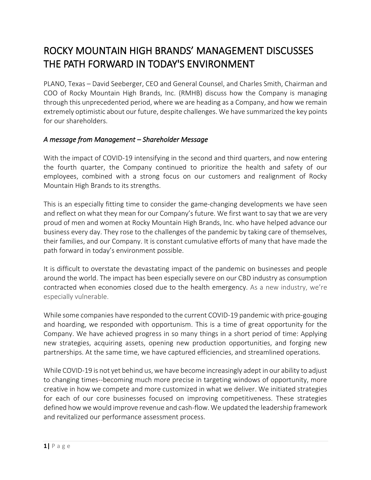# ROCKY MOUNTAIN HIGH BRANDS' MANAGEMENT DISCUSSES THE PATH FORWARD IN TODAY'S ENVIRONMENT

PLANO, Texas – David Seeberger, CEO and General Counsel, and Charles Smith, Chairman and COO of Rocky Mountain High Brands, Inc. (RMHB) discuss how the Company is managing through this unprecedented period, where we are heading as a Company, and how we remain extremely optimistic about our future, despite challenges. We have summarized the key points for our shareholders.

#### *A message from Management – Shareholder Message*

With the impact of COVID-19 intensifying in the second and third quarters, and now entering the fourth quarter, the Company continued to prioritize the health and safety of our employees, combined with a strong focus on our customers and realignment of Rocky Mountain High Brands to its strengths.

This is an especially fitting time to consider the game-changing developments we have seen and reflect on what they mean for our Company's future. We first want to say that we are very proud of men and women at Rocky Mountain High Brands, Inc. who have helped advance our business every day. They rose to the challenges of the pandemic by taking care of themselves, their families, and our Company. It is constant cumulative efforts of many that have made the path forward in today's environment possible.

It is difficult to overstate the devastating impact of the pandemic on businesses and people around the world. The impact has been especially severe on our CBD industry as consumption contracted when economies closed due to the health emergency. As a new industry, we're especially vulnerable.

While some companies have responded to the current COVID-19 pandemic with price-gouging and hoarding, we responded with opportunism. This is a time of great opportunity for the Company. We have achieved progress in so many things in a short period of time: Applying new strategies, acquiring assets, opening new production opportunities, and forging new partnerships. At the same time, we have captured efficiencies, and streamlined operations.

While COVID-19 is not yet behind us, we have become increasingly adept in our ability to adjust to changing times--becoming much more precise in targeting windows of opportunity, more creative in how we compete and more customized in what we deliver. We initiated strategies for each of our core businesses focused on improving competitiveness. These strategies defined how we would improve revenue and cash-flow. We updated the leadership framework and revitalized our performance assessment process.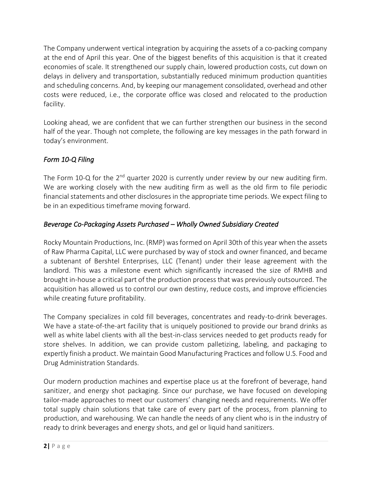The Company underwent vertical integration by acquiring the assets of a co-packing company at the end of April this year. One of the biggest benefits of this acquisition is that it created economies of scale. It strengthened our supply chain, lowered production costs, cut down on delays in delivery and transportation, substantially reduced minimum production quantities and scheduling concerns. And, by keeping our management consolidated, overhead and other costs were reduced, i.e., the corporate office was closed and relocated to the production facility.

Looking ahead, we are confident that we can further strengthen our business in the second half of the year. Though not complete, the following are key messages in the path forward in today's environment.

# *Form 10-Q Filing*

The Form 10-Q for the  $2<sup>nd</sup>$  quarter 2020 is currently under review by our new auditing firm. We are working closely with the new auditing firm as well as the old firm to file periodic financial statements and other disclosures in the appropriate time periods. We expect filing to be in an expeditious timeframe moving forward.

#### *Beverage Co-Packaging Assets Purchased – Wholly Owned Subsidiary Created*

Rocky Mountain Productions, Inc. (RMP) was formed on April 30th of this year when the assets of Raw Pharma Capital, LLC were purchased by way of stock and owner financed, and became a subtenant of Bershtel Enterprises, LLC (Tenant) under their lease agreement with the landlord. This was a milestone event which significantly increased the size of RMHB and brought in-house a critical part of the production process that was previously outsourced. The acquisition has allowed us to control our own destiny, reduce costs, and improve efficiencies while creating future profitability.

The Company specializes in cold fill beverages, concentrates and ready-to-drink beverages. We have a state-of-the-art facility that is uniquely positioned to provide our brand drinks as well as white label clients with all the best-in-class services needed to get products ready for store shelves. In addition, we can provide custom palletizing, labeling, and packaging to expertly finish a product. We maintain Good Manufacturing Practices and follow U.S. Food and Drug Administration Standards.

Our modern production machines and expertise place us at the forefront of beverage, hand sanitizer, and energy shot packaging. Since our purchase, we have focused on developing tailor-made approaches to meet our customers' changing needs and requirements. We offer total supply chain solutions that take care of every part of the process, from planning to production, and warehousing. We can handle the needs of any client who is in the industry of ready to drink beverages and energy shots, and gel or liquid hand sanitizers.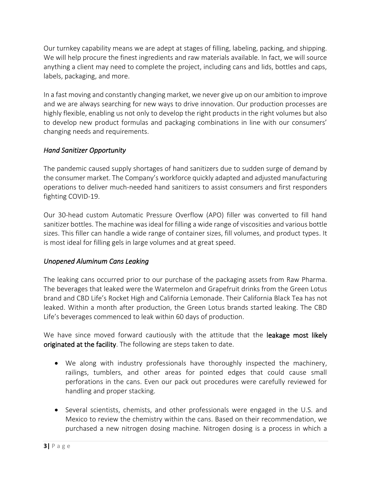Our turnkey capability means we are adept at stages of filling, labeling, packing, and shipping. We will help procure the finest ingredients and raw materials available. In fact, we will source anything a client may need to complete the project, including cans and lids, bottles and caps, labels, packaging, and more.

In a fast moving and constantly changing market, we never give up on our ambition to improve and we are always searching for new ways to drive innovation. Our production processes are highly flexible, enabling us not only to develop the right products in the right volumes but also to develop new product formulas and packaging combinations in line with our consumers' changing needs and requirements.

# *Hand Sanitizer Opportunity*

The pandemic caused supply shortages of hand sanitizers due to sudden surge of demand by the consumer market. The Company's workforce quickly adapted and adjusted manufacturing operations to deliver much-needed hand sanitizers to assist consumers and first responders fighting COVID-19.

Our 30-head custom Automatic Pressure Overflow (APO) filler was converted to fill hand sanitizer bottles. The machine was ideal for filling a wide range of viscosities and various bottle sizes. This filler can handle a wide range of container sizes, fill volumes, and product types. It is most ideal for filling gels in large volumes and at great speed.

# *Unopened Aluminum Cans Leaking*

The leaking cans occurred prior to our purchase of the packaging assets from Raw Pharma. The beverages that leaked were the Watermelon and Grapefruit drinks from the Green Lotus brand and CBD Life's Rocket High and California Lemonade. Their California Black Tea has not leaked. Within a month after production, the Green Lotus brands started leaking. The CBD Life's beverages commenced to leak within 60 days of production.

We have since moved forward cautiously with the attitude that the leakage most likely originated at the facility. The following are steps taken to date.

- We along with industry professionals have thoroughly inspected the machinery, railings, tumblers, and other areas for pointed edges that could cause small perforations in the cans. Even our pack out procedures were carefully reviewed for handling and proper stacking.
- Several scientists, chemists, and other professionals were engaged in the U.S. and Mexico to review the chemistry within the cans. Based on their recommendation, we purchased a new nitrogen dosing machine. Nitrogen dosing is a process in which a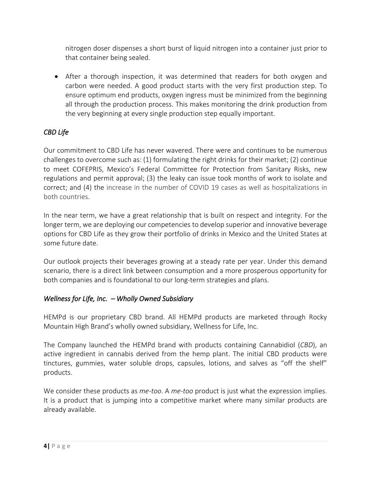nitrogen doser dispenses a short burst of liquid nitrogen into a container just prior to that container being sealed.

• After a thorough inspection, it was determined that readers for both oxygen and carbon were needed. A good product starts with the very first production step. To ensure optimum end products, oxygen ingress must be minimized from the beginning all through the production process. This makes monitoring the drink production from the very beginning at every single production step equally important.

# *CBD Life*

Our commitment to CBD Life has never wavered. There were and continues to be numerous challenges to overcome such as: (1) formulating the right drinks for their market; (2) continue to meet COFEPRIS, Mexico's Federal Committee for Protection from Sanitary Risks, new regulations and permit approval; (3) the leaky can issue took months of work to isolate and correct; and (4) the increase in the number of COVID 19 cases as well as hospitalizations in both countries.

In the near term, we have a great relationship that is built on respect and integrity. For the longer term, we are deploying our competencies to develop superior and innovative beverage options for CBD Life as they grow their portfolio of drinks in Mexico and the United States at some future date.

Our outlook projects their beverages growing at a steady rate per year. Under this demand scenario, there is a direct link between consumption and a more prosperous opportunity for both companies and is foundational to our long-term strategies and plans.

# *Wellness for Life, Inc. – Wholly Owned Subsidiary*

HEMPd is our proprietary CBD brand. All HEMPd products are marketed through Rocky Mountain High Brand's wholly owned subsidiary, Wellness for Life, Inc.

The Company launched the HEMPd brand with products containing Cannabidiol (*CBD*), an active ingredient in cannabis derived from the hemp plant. The initial CBD products were tinctures, gummies, water soluble drops, capsules, lotions, and salves as "off the shelf" products.

We consider these products as *me-too*. A *me-too* product is just what the expression implies. It is a product that is jumping into a competitive market where many similar products are already available.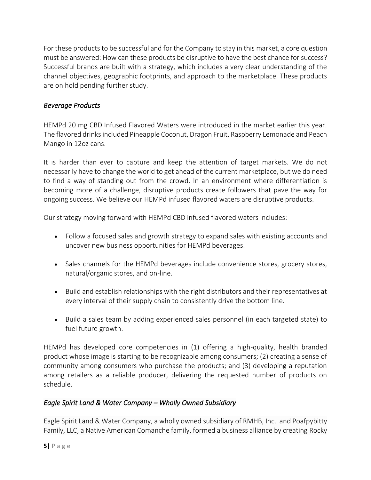For these products to be successful and for the Company to stay in this market, a core question must be answered: How can these products be disruptive to have the best chance for success? Successful brands are built with a strategy, which includes a very clear understanding of the channel objectives, geographic footprints, and approach to the marketplace. These products are on hold pending further study.

# *Beverage Products*

HEMPd 20 mg CBD Infused Flavored Waters were introduced in the market earlier this year. The flavored drinks included Pineapple Coconut, Dragon Fruit, Raspberry Lemonade and Peach Mango in 12oz cans.

It is harder than ever to capture and keep the attention of target markets. We do not necessarily have to change the world to get ahead of the current marketplace, but we do need to find a way of standing out from the crowd. In an environment where differentiation is becoming more of a challenge, disruptive products create followers that pave the way for ongoing success. We believe our HEMPd infused flavored waters are disruptive products.

Our strategy moving forward with HEMPd CBD infused flavored waters includes:

- Follow a focused sales and growth strategy to expand sales with existing accounts and uncover new business opportunities for HEMPd beverages.
- Sales channels for the HEMPd beverages include convenience stores, grocery stores, natural/organic stores, and on-line.
- Build and establish relationships with the right distributors and their representatives at every interval of their supply chain to consistently drive the bottom line.
- Build a sales team by adding experienced sales personnel (in each targeted state) to fuel future growth.

HEMPd has developed core competencies in (1) offering a high-quality, health branded product whose image is starting to be recognizable among consumers; (2) creating a sense of community among consumers who purchase the products; and (3) developing a reputation among retailers as a reliable producer, delivering the requested number of products on schedule.

# *Eagle Spirit Land & Water Company – Wholly Owned Subsidiary*

Eagle Spirit Land & Water Company, a wholly owned subsidiary of RMHB, Inc. and Poafpybitty Family, LLC, a Native American Comanche family, formed a business alliance by creating Rocky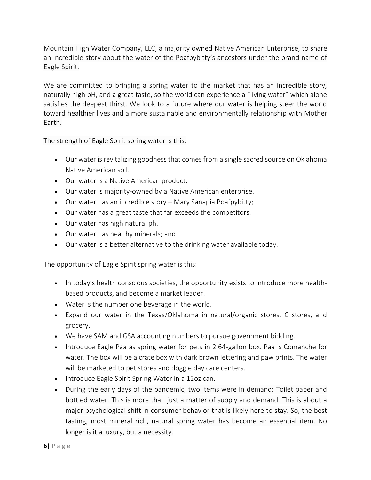Mountain High Water Company, LLC, a majority owned Native American Enterprise, to share an incredible story about the water of the Poafpybitty's ancestors under the brand name of Eagle Spirit.

We are committed to bringing a spring water to the market that has an incredible story, naturally high pH, and a great taste, so the world can experience a "living water" which alone satisfies the deepest thirst. We look to a future where our water is helping steer the world toward healthier lives and a more sustainable and environmentally relationship with Mother Earth.

The strength of Eagle Spirit spring water is this:

- Our water is revitalizing goodness that comes from a single sacred source on Oklahoma Native American soil.
- Our water is a Native American product.
- Our water is majority-owned by a Native American enterprise.
- Our water has an incredible story Mary Sanapia Poafpybitty;
- Our water has a great taste that far exceeds the competitors.
- Our water has high natural ph.
- Our water has healthy minerals; and
- Our water is a better alternative to the drinking water available today.

The opportunity of Eagle Spirit spring water is this:

- In today's health conscious societies, the opportunity exists to introduce more healthbased products, and become a market leader.
- Water is the number one beverage in the world.
- Expand our water in the Texas/Oklahoma in natural/organic stores, C stores, and grocery.
- We have SAM and GSA accounting numbers to pursue government bidding.
- Introduce Eagle Paa as spring water for pets in 2.64-gallon box. Paa is Comanche for water. The box will be a crate box with dark brown lettering and paw prints. The water will be marketed to pet stores and doggie day care centers.
- Introduce Eagle Spirit Spring Water in a 12oz can.
- During the early days of the pandemic, two items were in demand: Toilet paper and bottled water. This is more than just a matter of supply and demand. This is about a major psychological shift in consumer behavior that is likely here to stay. So, the best tasting, most mineral rich, natural spring water has become an essential item. No longer is it a luxury, but a necessity.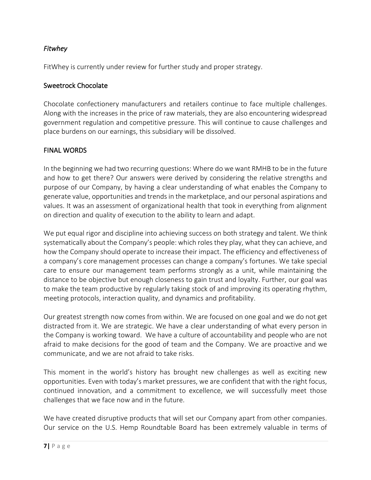#### *Fitwhey*

FitWhey is currently under review for further study and proper strategy.

#### Sweetrock Chocolate

Chocolate confectionery manufacturers and retailers continue to face multiple challenges. Along with the increases in the price of raw materials, they are also encountering widespread government regulation and competitive pressure. This will continue to cause challenges and place burdens on our earnings, this subsidiary will be dissolved.

#### FINAL WORDS

In the beginning we had two recurring questions: Where do we want RMHB to be in the future and how to get there? Our answers were derived by considering the relative strengths and purpose of our Company, by having a clear understanding of what enables the Company to generate value, opportunities and trends in the marketplace, and our personal aspirations and values. It was an assessment of organizational health that took in everything from alignment on direction and quality of execution to the ability to learn and adapt.

We put equal rigor and discipline into achieving success on both strategy and talent. We think systematically about the Company's people: which roles they play, what they can achieve, and how the Company should operate to increase their impact. The efficiency and effectiveness of a company's core management processes can change a company's fortunes. We take special care to ensure our management team performs strongly as a unit, while maintaining the distance to be objective but enough closeness to gain trust and loyalty. Further, our goal was to make the team productive by regularly taking stock of and improving its operating rhythm, meeting protocols, interaction quality, and dynamics and profitability.

Our greatest strength now comes from within. We are focused on one goal and we do not get distracted from it. We are strategic. We have a clear understanding of what every person in the Company is working toward. We have a culture of accountability and people who are not afraid to make decisions for the good of team and the Company. We are proactive and we communicate, and we are not afraid to take risks.

This moment in the world's history has brought new challenges as well as exciting new opportunities. Even with today's market pressures, we are confident that with the right focus, continued innovation, and a commitment to excellence, we will successfully meet those challenges that we face now and in the future.

We have created disruptive products that will set our Company apart from other companies. Our service on the U.S. Hemp Roundtable Board has been extremely valuable in terms of